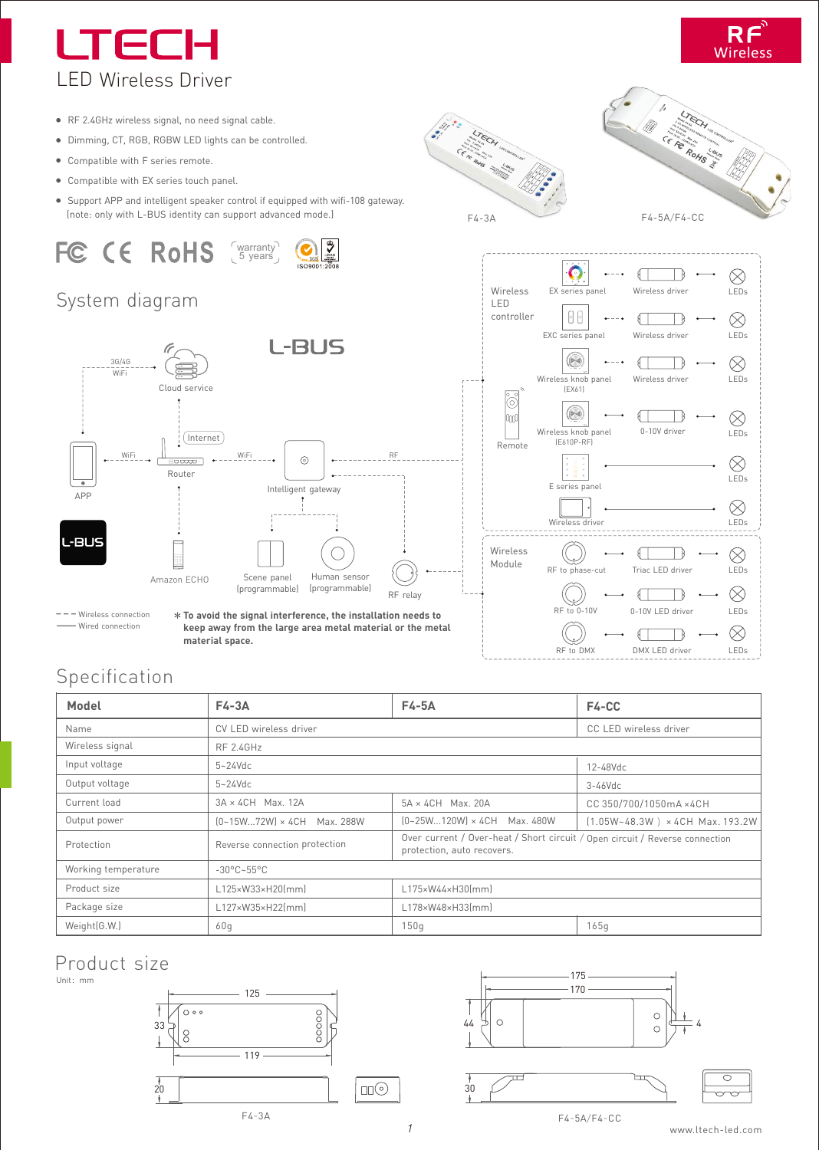## LTED LED Wireless Driver



- RF 2.4GHz wireless signal, no need signal cable.
- Dimming, CT, RGB, RGBW LED lights can be controlled.
- Compatible with F series remote.
- Compatible with EX series touch panel.
- Support APP and intelligent speaker control if equipped with wifi-108 gateway.

# FC CE RoHS



#### System diagram



**To avoid the signal interference, the installation needs to keep away from the large area metal material or the metal material space.**







#### Specification

Wired connection

| Model               | $F4-3A$                         | F4-5A                                                                                                      | F4-CC                               |
|---------------------|---------------------------------|------------------------------------------------------------------------------------------------------------|-------------------------------------|
| Name                | CV LED wireless driver          |                                                                                                            | CC LED wireless driver              |
| Wireless signal     | <b>RF 2.4GHz</b>                |                                                                                                            |                                     |
| Input voltage       | $5 - 24$ Vdc                    |                                                                                                            | $12 - 48$ Vdc                       |
| Output voltage      | $5 - 24$ Vdc                    |                                                                                                            | $3-46$ Vdc                          |
| Current load        | $3A \times 4CH$ Max. 12A        | $5A \times 4CH$ Max. 20A                                                                                   | CC 350/700/1050mA ×4CH              |
| Output power        | (0~15W72W) × 4CH Max. 288W      | (0~25W120W) × 4CH Max. 480W                                                                                | $(1.05W - 48.3W)$ × 4CH Max. 193.2W |
| Protection          | Reverse connection protection   | Over current / Over-heat / Short circuit / Open circuit / Reverse connection<br>protection, auto recovers. |                                     |
| Working temperature | $-30^{\circ}$ C $-55^{\circ}$ C |                                                                                                            |                                     |
| Product size        | L125×W33×H20(mm)                | L175×W44×H30(mm)                                                                                           |                                     |
| Package size        | L127×W35×H22(mm)                | L178×W48×H33(mm)                                                                                           |                                     |
| Weight(G.W.)        | 60q                             | 150q                                                                                                       | 165q                                |

*1*

30

#### Product size

Unit:mm







F4-5A/F4-CC